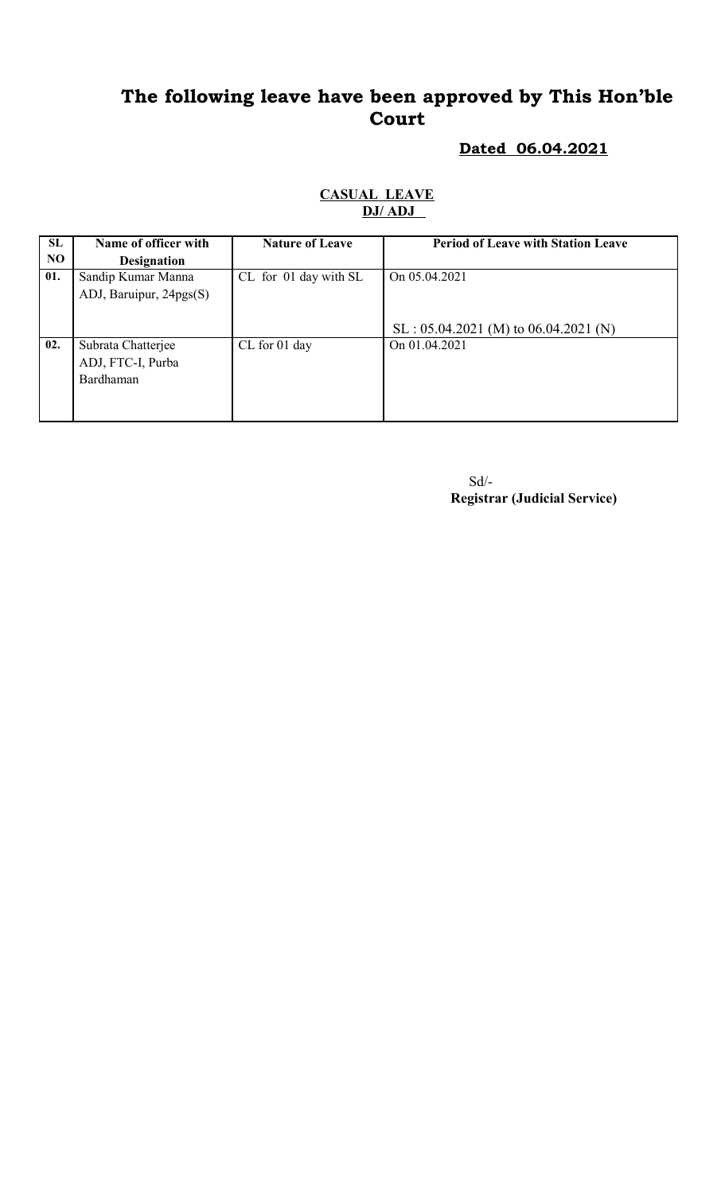# **The following leave have been approved by This Hon'ble Court**

#### **Dated 06.04.2021**

#### **CASUAL LEAVE DJ/ ADJ**

| SL  | Name of officer with    | <b>Nature of Leave</b> | <b>Period of Leave with Station Leave</b> |
|-----|-------------------------|------------------------|-------------------------------------------|
| NO. | <b>Designation</b>      |                        |                                           |
| 01. | Sandip Kumar Manna      | CL for 01 day with SL  | On $05.04.2021$                           |
|     | ADJ, Baruipur, 24pgs(S) |                        |                                           |
|     |                         |                        |                                           |
|     |                         |                        | $SL : 05.04.2021$ (M) to 06.04.2021 (N)   |
| 02. | Subrata Chatterjee      | CL for 01 day          | On 01.04.2021                             |
|     | ADJ, FTC-I, Purba       |                        |                                           |
|     | Bardhaman               |                        |                                           |
|     |                         |                        |                                           |
|     |                         |                        |                                           |

 Sd/- **Registrar (Judicial Service)**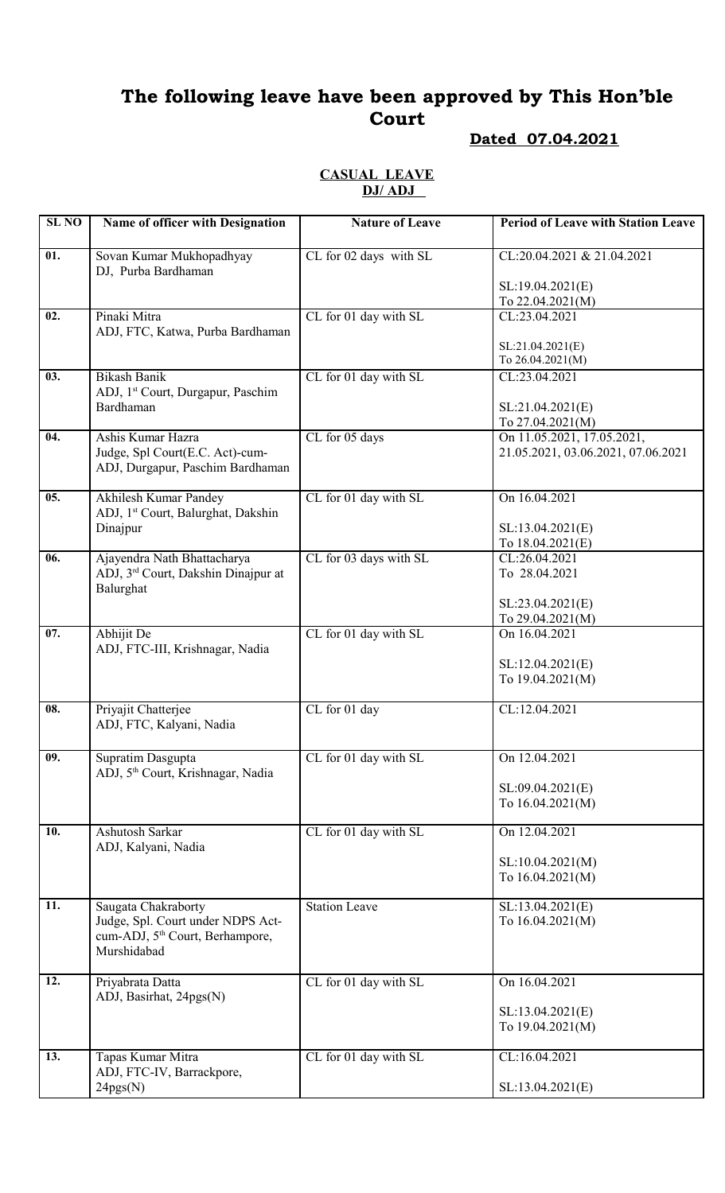# **The following leave have been approved by This Hon'ble Court**

## **Dated 07.04.2021**

#### **CASUAL LEAVE DJ/ ADJ**

| <b>SL NO</b> | Name of officer with Designation                                                                | <b>Nature of Leave</b> | <b>Period of Leave with Station Leave</b>                        |
|--------------|-------------------------------------------------------------------------------------------------|------------------------|------------------------------------------------------------------|
| 01.          | Sovan Kumar Mukhopadhyay                                                                        | CL for 02 days with SL | CL:20.04.2021 & 21.04.2021                                       |
|              | DJ, Purba Bardhaman                                                                             |                        | SL:19.04.2021(E)<br>To 22.04.2021(M)                             |
| 02.          | Pinaki Mitra                                                                                    | CL for 01 day with SL  | CL:23.04.2021                                                    |
|              | ADJ, FTC, Katwa, Purba Bardhaman                                                                |                        | SL:21.04.2021(E)<br>To 26.04.2021(M)                             |
| 03.          | <b>Bikash Banik</b><br>ADJ, 1 <sup>st</sup> Court, Durgapur, Paschim                            | CL for 01 day with SL  | CL:23.04.2021                                                    |
|              | Bardhaman                                                                                       |                        | SL:21.04.2021(E)<br>To 27.04.2021(M)                             |
| 04.          | Ashis Kumar Hazra<br>Judge, Spl Court(E.C. Act)-cum-<br>ADJ, Durgapur, Paschim Bardhaman        | CL for 05 days         | On 11.05.2021, 17.05.2021,<br>21.05.2021, 03.06.2021, 07.06.2021 |
| 05.          | Akhilesh Kumar Pandey<br>ADJ, 1 <sup>st</sup> Court, Balurghat, Dakshin                         | CL for 01 day with SL  | On 16.04.2021                                                    |
|              | Dinajpur                                                                                        |                        | SL:13.04.2021(E)<br>To 18.04.2021(E)                             |
| 06.          | Ajayendra Nath Bhattacharya<br>ADJ, 3 <sup>rd</sup> Court, Dakshin Dinajpur at<br>Balurghat     | CL for 03 days with SL | CL:26.04.2021<br>To 28.04.2021                                   |
|              |                                                                                                 |                        | SL:23.04.2021(E)<br>To 29.04.2021(M)                             |
| 07.          | Abhijit De                                                                                      | CL for 01 day with SL  | On 16.04.2021                                                    |
|              | ADJ, FTC-III, Krishnagar, Nadia                                                                 |                        | SL:12.04.2021(E)<br>To 19.04.2021(M)                             |
| 08.          | Priyajit Chatterjee<br>ADJ, FTC, Kalyani, Nadia                                                 | CL for 01 day          | CL:12.04.2021                                                    |
| 09.          | Supratim Dasgupta                                                                               | CL for 01 day with SL  | On 12.04.2021                                                    |
|              | ADJ, 5 <sup>th</sup> Court, Krishnagar, Nadia                                                   |                        | SL:09.04.2021(E)                                                 |
|              |                                                                                                 |                        | To 16.04.2021(M)                                                 |
| 10.          | Ashutosh Sarkar<br>ADJ, Kalyani, Nadia                                                          | CL for 01 day with SL  | On 12.04.2021                                                    |
|              |                                                                                                 |                        | SL:10.04.2021(M)<br>To 16.04.2021(M)                             |
| 11.          | Saugata Chakraborty                                                                             | <b>Station Leave</b>   | SL:13.04.2021(E)                                                 |
|              | Judge, Spl. Court under NDPS Act-<br>cum-ADJ, 5 <sup>th</sup> Court, Berhampore,<br>Murshidabad |                        | To 16.04.2021(M)                                                 |
| 12.          | Priyabrata Datta<br>ADJ, Basirhat, 24pgs(N)                                                     | CL for 01 day with SL  | On 16.04.2021                                                    |
|              |                                                                                                 |                        | SL:13.04.2021(E)<br>To 19.04.2021(M)                             |
| 13.          | Tapas Kumar Mitra<br>ADJ, FTC-IV, Barrackpore,                                                  | CL for 01 day with SL  | CL:16.04.2021                                                    |
|              | 24pgs(N)                                                                                        |                        | SL:13.04.2021(E)                                                 |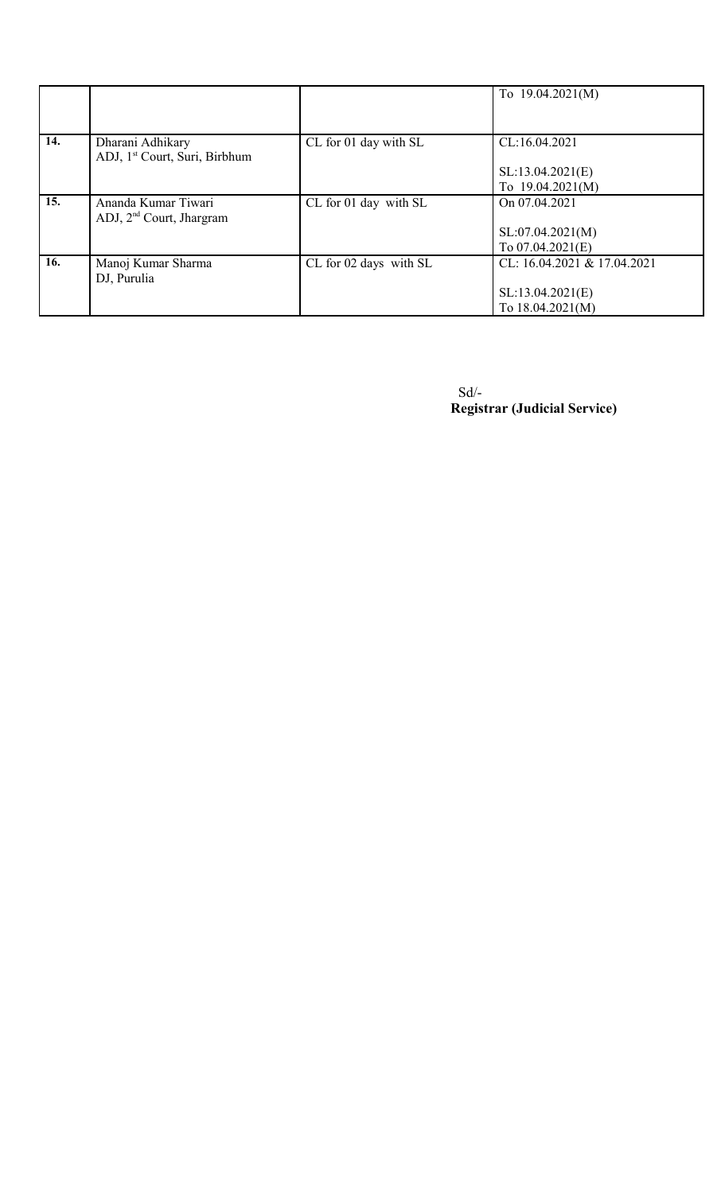|     |                                           |                        | To $19.04.2021(M)$          |
|-----|-------------------------------------------|------------------------|-----------------------------|
| 14. | Dharani Adhikary                          | CL for 01 day with SL  | CL:16.04.2021               |
|     | ADJ, 1 <sup>st</sup> Court, Suri, Birbhum |                        |                             |
|     |                                           |                        | SL:13.04.2021(E)            |
|     |                                           |                        | To $19.04.2021(M)$          |
| 15. | Ananda Kumar Tiwari                       | CL for 01 day with SL  | On 07.04.2021               |
|     | ADJ, $2nd$ Court, Jhargram                |                        |                             |
|     |                                           |                        | SL:07.04.2021(M)            |
|     |                                           |                        | To $07.04.2021(E)$          |
| 16. | Manoj Kumar Sharma                        | CL for 02 days with SL | CL: 16.04.2021 & 17.04.2021 |
|     | DJ, Purulia                               |                        |                             |
|     |                                           |                        | SL:13.04.2021(E)            |
|     |                                           |                        | To 18.04.2021(M)            |

 Sd/- **Registrar (Judicial Service)**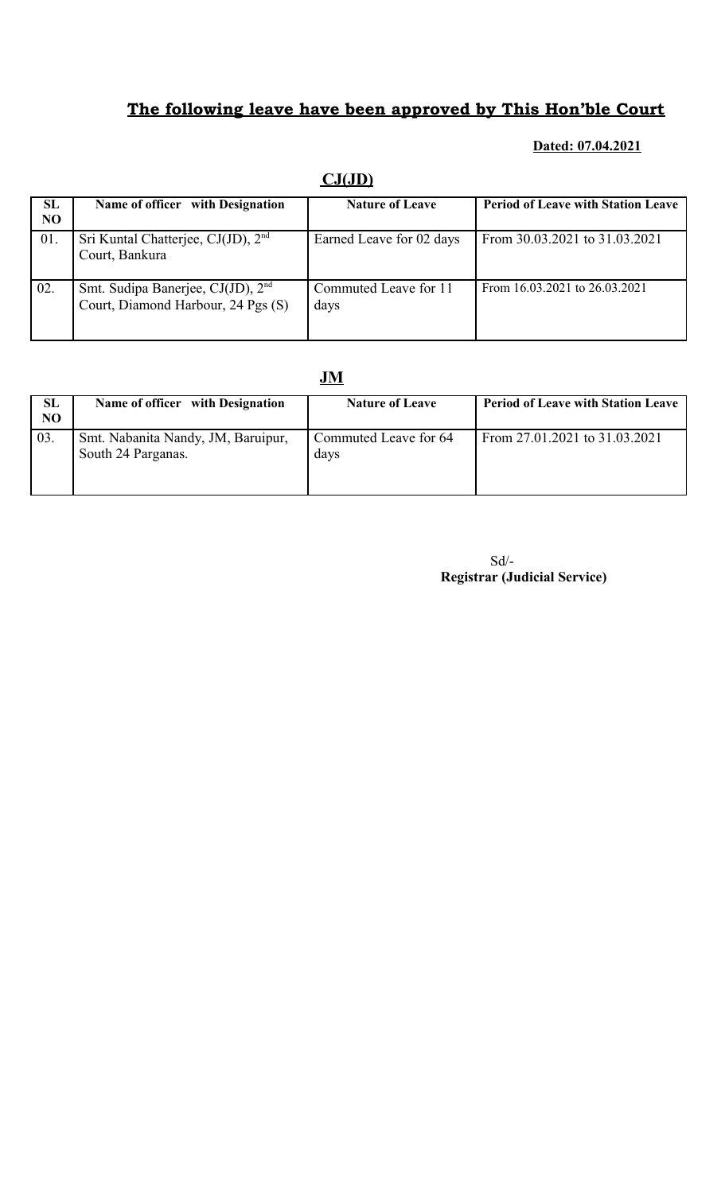# **The following leave have been approved by This Hon'ble Court**

#### **Dated: 07.04.2021**

|                      | $conv$                                                                              |                               |                                           |  |  |
|----------------------|-------------------------------------------------------------------------------------|-------------------------------|-------------------------------------------|--|--|
| SL<br>N <sub>O</sub> | Name of officer with Designation                                                    | <b>Nature of Leave</b>        | <b>Period of Leave with Station Leave</b> |  |  |
| 01.                  | Sri Kuntal Chatterjee, $CJ(JD)$ , $2nd$<br>Court, Bankura                           | Earned Leave for 02 days      | From 30.03.2021 to 31.03.2021             |  |  |
| 02.                  | Smt. Sudipa Banerjee, CJ(JD), 2 <sup>nd</sup><br>Court, Diamond Harbour, 24 Pgs (S) | Commuted Leave for 11<br>days | From 16.03.2021 to 26.03.2021             |  |  |

### **CJ(JD)**

### **JM**

| <b>SL</b><br>N <sub>O</sub> | Name of officer with Designation                         | <b>Nature of Leave</b>        | <b>Period of Leave with Station Leave</b> |
|-----------------------------|----------------------------------------------------------|-------------------------------|-------------------------------------------|
| 03.                         | Smt. Nabanita Nandy, JM, Baruipur,<br>South 24 Parganas. | Commuted Leave for 64<br>davs | From 27.01.2021 to 31.03.2021             |

Sd/-  **Registrar (Judicial Service)**